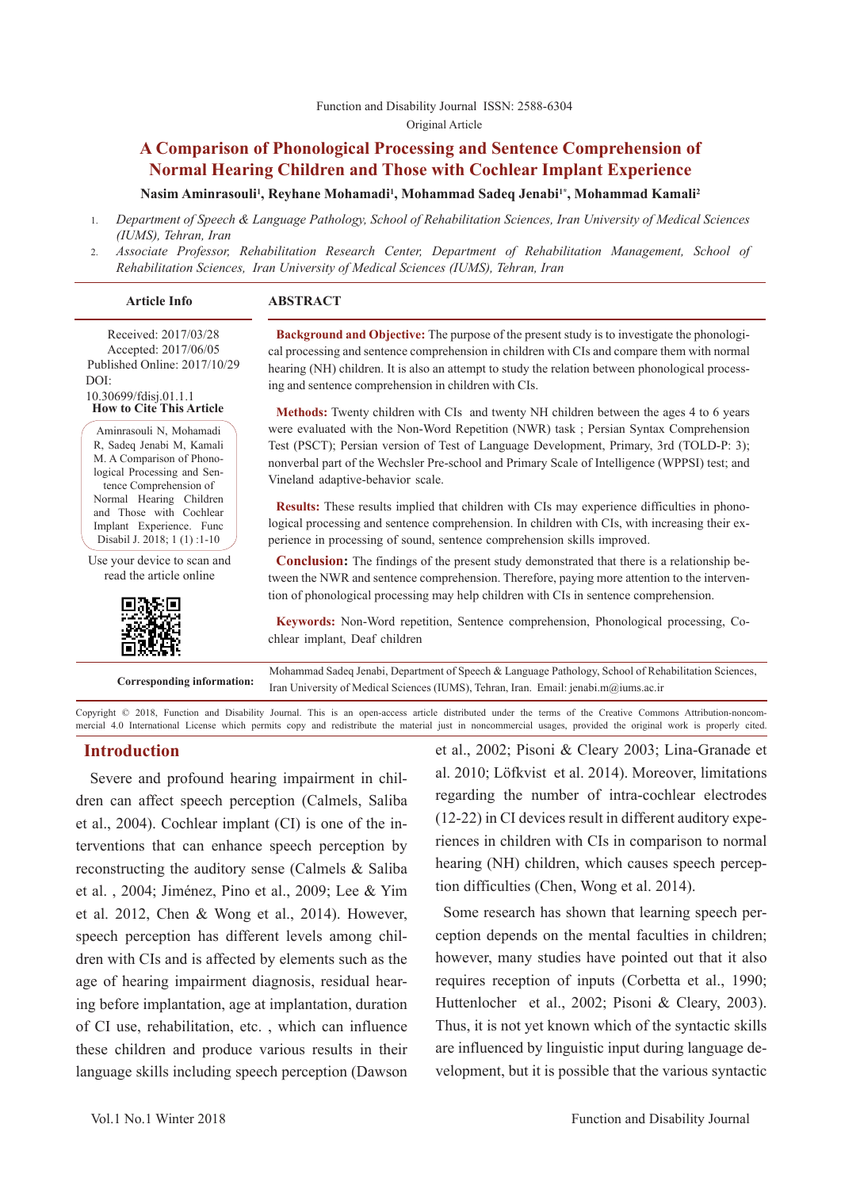# **A Comparison of Phonological Processing and Sentence Comprehension of Normal Hearing Children and Those with Cochlear Implant Experience**

**Nasim Aminrasouli1 , Reyhane Mohamadi1 , Mohammad Sadeq Jenabi1\*, Mohammad Kamali2**

- 1. *Department of Speech & Language Pathology, School of Rehabilitation Sciences, Iran University of Medical Sciences (IUMS), Tehran, Iran*
- 2. *Associate Professor, Rehabilitation Research Center, Department of Rehabilitation Management, School of Rehabilitation Sciences, Iran University of Medical Sciences (IUMS), Tehran, Iran*

### **Article Info ABSTRACT**

Received: 2017/03/28 Accepted: 2017/06/05 Published Online: 2017/10/29 DOI: 10.30699/fdisj.01.1.1

**How to Cite This Article**

Aminrasouli N, Mohamadi R, Sadeq Jenabi M, Kamali M. A Comparison of Phonological Processing and Sentence Comprehension of Normal Hearing Children and Those with Cochlear Implant Experience. Func Disabil J. 2018; 1 (1) :1-10

Use your device to scan and read the article online



**Background and Objective:** The purpose of the present study is to investigate the phonological processing and sentence comprehension in children with CIs and compare them with normal hearing (NH) children. It is also an attempt to study the relation between phonological processing and sentence comprehension in children with CIs.

**Methods:** Twenty children with CIs and twenty NH children between the ages 4 to 6 years were evaluated with the Non-Word Repetition (NWR) task ; Persian Syntax Comprehension Test (PSCT); Persian version of Test of Language Development, Primary, 3rd (TOLD-P: 3); nonverbal part of the Wechsler Pre-school and Primary Scale of Intelligence (WPPSI) test; and Vineland adaptive-behavior scale.

**Results:** These results implied that children with CIs may experience difficulties in phonological processing and sentence comprehension. In children with CIs, with increasing their experience in processing of sound, sentence comprehension skills improved.

**Conclusion:** The findings of the present study demonstrated that there is a relationship between the NWR and sentence comprehension. Therefore, paying more attention to the intervention of phonological processing may help children with CIs in sentence comprehension.

**Keywords:** Non-Word repetition, Sentence comprehension, Phonological processing, Cochlear implant, Deaf children

**Corresponding information:** Mohammad Sadeq Jenabi, Department of Speech & Language Pathology, School of Rehabilitation Sciences, Iran University of Medical Sciences (IUMS), Tehran, Iran. Email: jenabi.m@iums.ac.ir

Copyright © 2018, Function and Disability Journal. This is an open-access article distributed under the terms of the Creative Commons Attribution-noncommercial 4.0 International License which permits copy and redistribute the material just in noncommercial usages, provided the original work is properly cited.

# **Introduction**

 Severe and profound hearing impairment in children can affect speech perception (Calmels, Saliba et al., 2004). Cochlear implant (CI) is one of the interventions that can enhance speech perception by reconstructing the auditory sense (Calmels & Saliba et al. , 2004; Jiménez, Pino et al., 2009; Lee & Yim et al. 2012, Chen & Wong et al., 2014). However, speech perception has different levels among children with CIs and is affected by elements such as the age of hearing impairment diagnosis, residual hearing before implantation, age at implantation, duration of CI use, rehabilitation, etc. , which can influence these children and produce various results in their language skills including speech perception (Dawson et al., 2002; Pisoni & Cleary 2003; Lina-Granade et al. 2010; Löfkvist et al. 2014). Moreover, limitations regarding the number of intra-cochlear electrodes (12-22) in CI devices result in different auditory experiences in children with CIs in comparison to normal hearing (NH) children, which causes speech perception difficulties (Chen, Wong et al. 2014).

Some research has shown that learning speech perception depends on the mental faculties in children; however, many studies have pointed out that it also requires reception of inputs (Corbetta et al., 1990; Huttenlocher et al., 2002; Pisoni & Cleary, 2003). Thus, it is not yet known which of the syntactic skills are influenced by linguistic input during language development, but it is possible that the various syntactic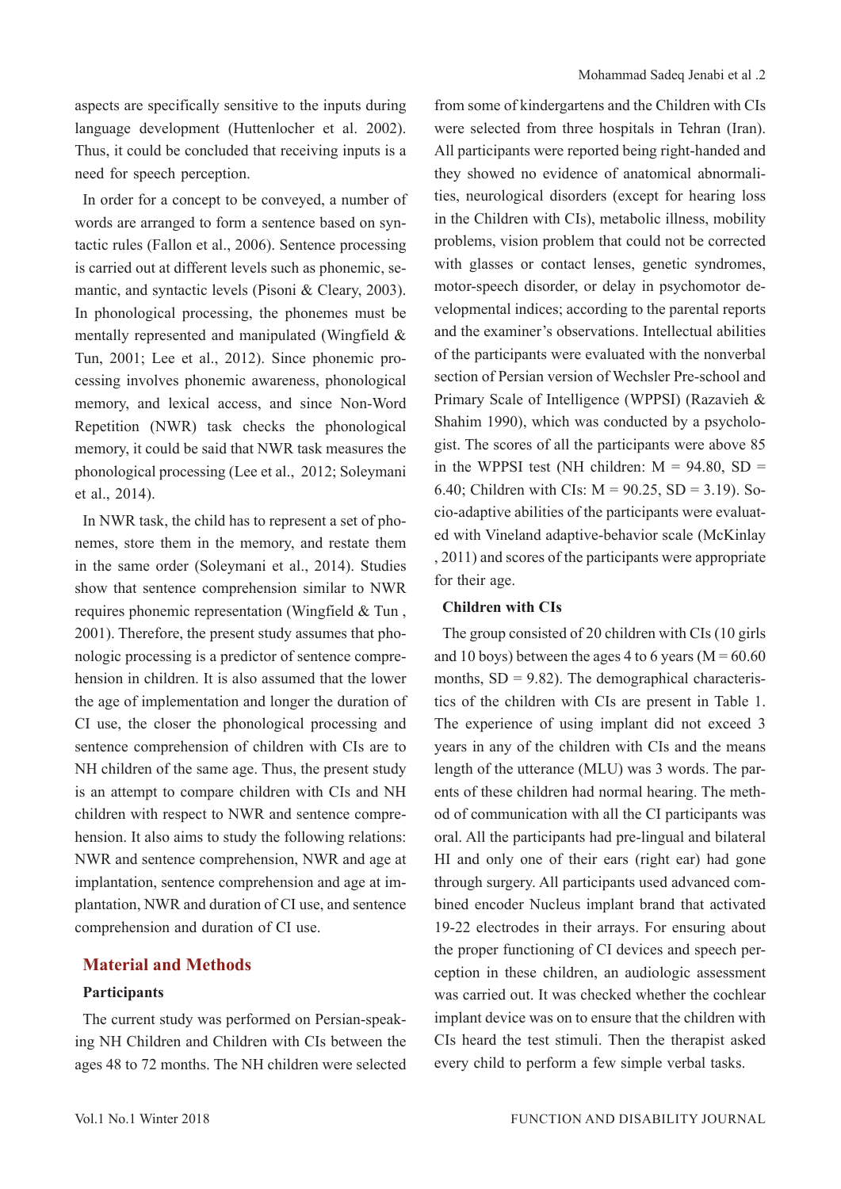aspects are specifically sensitive to the inputs during language development (Huttenlocher et al. 2002). Thus, it could be concluded that receiving inputs is a need for speech perception.

In order for a concept to be conveyed, a number of words are arranged to form a sentence based on syntactic rules (Fallon et al., 2006). Sentence processing is carried out at different levels such as phonemic, semantic, and syntactic levels (Pisoni & Cleary, 2003). In phonological processing, the phonemes must be mentally represented and manipulated (Wingfield & Tun, 2001; Lee et al., 2012). Since phonemic processing involves phonemic awareness, phonological memory, and lexical access, and since Non-Word Repetition (NWR) task checks the phonological memory, it could be said that NWR task measures the phonological processing (Lee et al., 2012; Soleymani et al., 2014).

In NWR task, the child has to represent a set of phonemes, store them in the memory, and restate them in the same order (Soleymani et al., 2014). Studies show that sentence comprehension similar to NWR requires phonemic representation (Wingfield & Tun , 2001). Therefore, the present study assumes that phonologic processing is a predictor of sentence comprehension in children. It is also assumed that the lower the age of implementation and longer the duration of CI use, the closer the phonological processing and sentence comprehension of children with CIs are to NH children of the same age. Thus, the present study is an attempt to compare children with CIs and NH children with respect to NWR and sentence comprehension. It also aims to study the following relations: NWR and sentence comprehension, NWR and age at implantation, sentence comprehension and age at implantation, NWR and duration of CI use, and sentence comprehension and duration of CI use.

# **Material and Methods**

### **Participants**

The current study was performed on Persian-speaking NH Children and Children with CIs between the ages 48 to 72 months. The NH children were selected

from some of kindergartens and the Children with CIs were selected from three hospitals in Tehran (Iran). All participants were reported being right-handed and they showed no evidence of anatomical abnormalities, neurological disorders (except for hearing loss in the Children with CIs), metabolic illness, mobility problems, vision problem that could not be corrected with glasses or contact lenses, genetic syndromes, motor-speech disorder, or delay in psychomotor developmental indices; according to the parental reports and the examiner's observations. Intellectual abilities of the participants were evaluated with the nonverbal section of Persian version of Wechsler Pre-school and Primary Scale of Intelligence (WPPSI) (Razavieh & Shahim 1990), which was conducted by a psychologist. The scores of all the participants were above 85 in the WPPSI test (NH children:  $M = 94.80$ , SD = 6.40; Children with CIs:  $M = 90.25$ , SD = 3.19). Socio-adaptive abilities of the participants were evaluated with Vineland adaptive-behavior scale (McKinlay , 2011) and scores of the participants were appropriate for their age.

### **Children with CIs**

The group consisted of 20 children with CIs (10 girls and 10 boys) between the ages 4 to 6 years ( $M = 60.60$ months,  $SD = 9.82$ ). The demographical characteristics of the children with CIs are present in Table 1. The experience of using implant did not exceed 3 years in any of the children with CIs and the means length of the utterance (MLU) was 3 words. The parents of these children had normal hearing. The method of communication with all the CI participants was oral. All the participants had pre-lingual and bilateral HI and only one of their ears (right ear) had gone through surgery. All participants used advanced combined encoder Nucleus implant brand that activated 19-22 electrodes in their arrays. For ensuring about the proper functioning of CI devices and speech perception in these children, an audiologic assessment was carried out. It was checked whether the cochlear implant device was on to ensure that the children with CIs heard the test stimuli. Then the therapist asked every child to perform a few simple verbal tasks.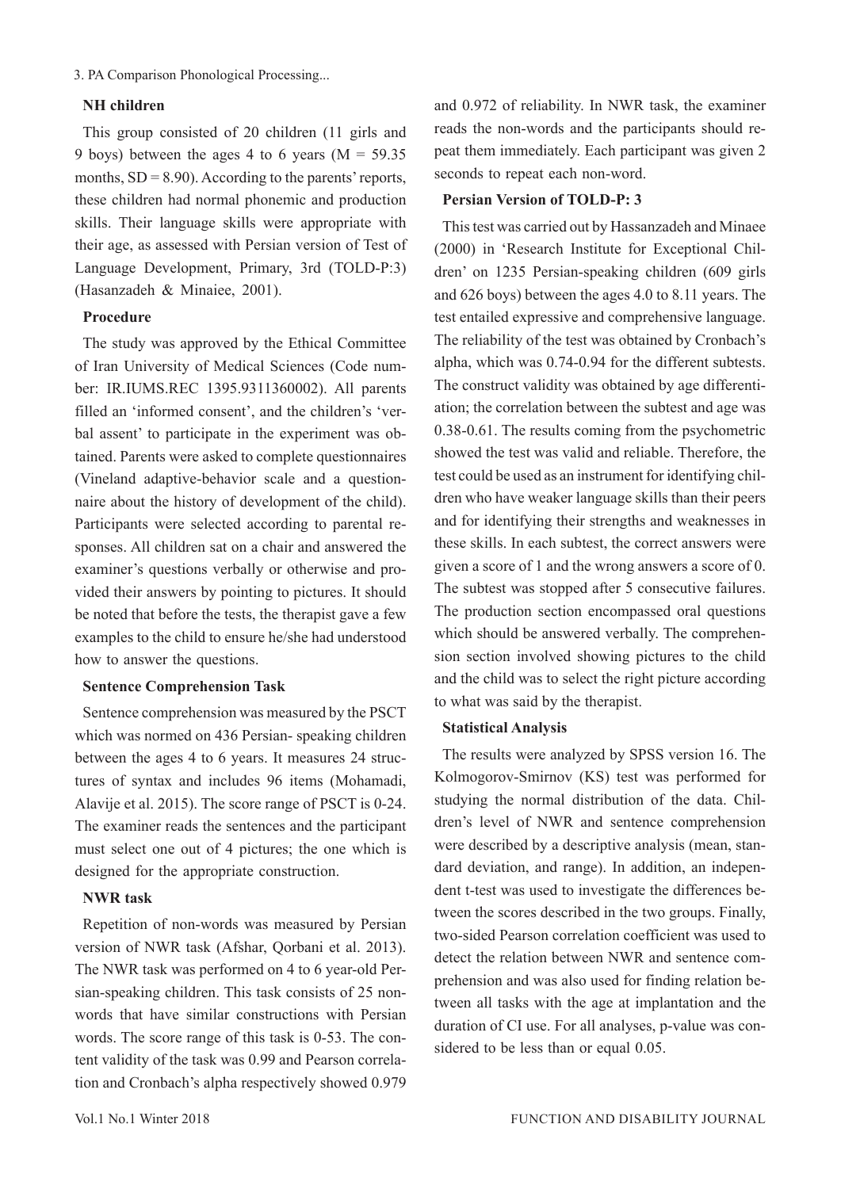3. PA Comparison Phonological Processing...

# **NH children**

This group consisted of 20 children (11 girls and 9 boys) between the ages 4 to 6 years ( $M = 59.35$ ) months,  $SD = 8.90$ ). According to the parents' reports, these children had normal phonemic and production skills. Their language skills were appropriate with their age, as assessed with Persian version of Test of Language Development, Primary, 3rd (TOLD-P:3) (Hasanzadeh & Minaiee, 2001).

### **Procedure**

The study was approved by the Ethical Committee of Iran University of Medical Sciences (Code number: IR.IUMS.REC 1395.9311360002). All parents filled an 'informed consent', and the children's 'verbal assent' to participate in the experiment was obtained. Parents were asked to complete questionnaires (Vineland adaptive-behavior scale and a questionnaire about the history of development of the child). Participants were selected according to parental responses. All children sat on a chair and answered the examiner's questions verbally or otherwise and provided their answers by pointing to pictures. It should be noted that before the tests, the therapist gave a few examples to the child to ensure he/she had understood how to answer the questions.

### **Sentence Comprehension Task**

Sentence comprehension was measured by the PSCT which was normed on 436 Persian- speaking children between the ages 4 to 6 years. It measures 24 structures of syntax and includes 96 items (Mohamadi, Alavije et al. 2015). The score range of PSCT is 0-24. The examiner reads the sentences and the participant must select one out of 4 pictures; the one which is designed for the appropriate construction.

## **NWR task**

Repetition of non-words was measured by Persian version of NWR task (Afshar, Qorbani et al. 2013). The NWR task was performed on 4 to 6 year-old Persian-speaking children. This task consists of 25 nonwords that have similar constructions with Persian words. The score range of this task is 0-53. The content validity of the task was 0.99 and Pearson correlation and Cronbach's alpha respectively showed 0.979

and 0.972 of reliability. In NWR task, the examiner reads the non-words and the participants should repeat them immediately. Each participant was given 2 seconds to repeat each non-word.

## **Persian Version of TOLD-P: 3**

This test was carried out by Hassanzadeh and Minaee (2000) in 'Research Institute for Exceptional Children' on 1235 Persian-speaking children (609 girls and 626 boys) between the ages 4.0 to 8.11 years. The test entailed expressive and comprehensive language. The reliability of the test was obtained by Cronbach's alpha, which was 0.74-0.94 for the different subtests. The construct validity was obtained by age differentiation; the correlation between the subtest and age was 0.38-0.61. The results coming from the psychometric showed the test was valid and reliable. Therefore, the test could be used as an instrument for identifying children who have weaker language skills than their peers and for identifying their strengths and weaknesses in these skills. In each subtest, the correct answers were given a score of 1 and the wrong answers a score of 0. The subtest was stopped after 5 consecutive failures. The production section encompassed oral questions which should be answered verbally. The comprehension section involved showing pictures to the child and the child was to select the right picture according to what was said by the therapist.

### **Statistical Analysis**

The results were analyzed by SPSS version 16. The Kolmogorov-Smirnov (KS) test was performed for studying the normal distribution of the data. Children's level of NWR and sentence comprehension were described by a descriptive analysis (mean, standard deviation, and range). In addition, an independent t-test was used to investigate the differences between the scores described in the two groups. Finally, two-sided Pearson correlation coefficient was used to detect the relation between NWR and sentence comprehension and was also used for finding relation between all tasks with the age at implantation and the duration of CI use. For all analyses, p-value was considered to be less than or equal 0.05.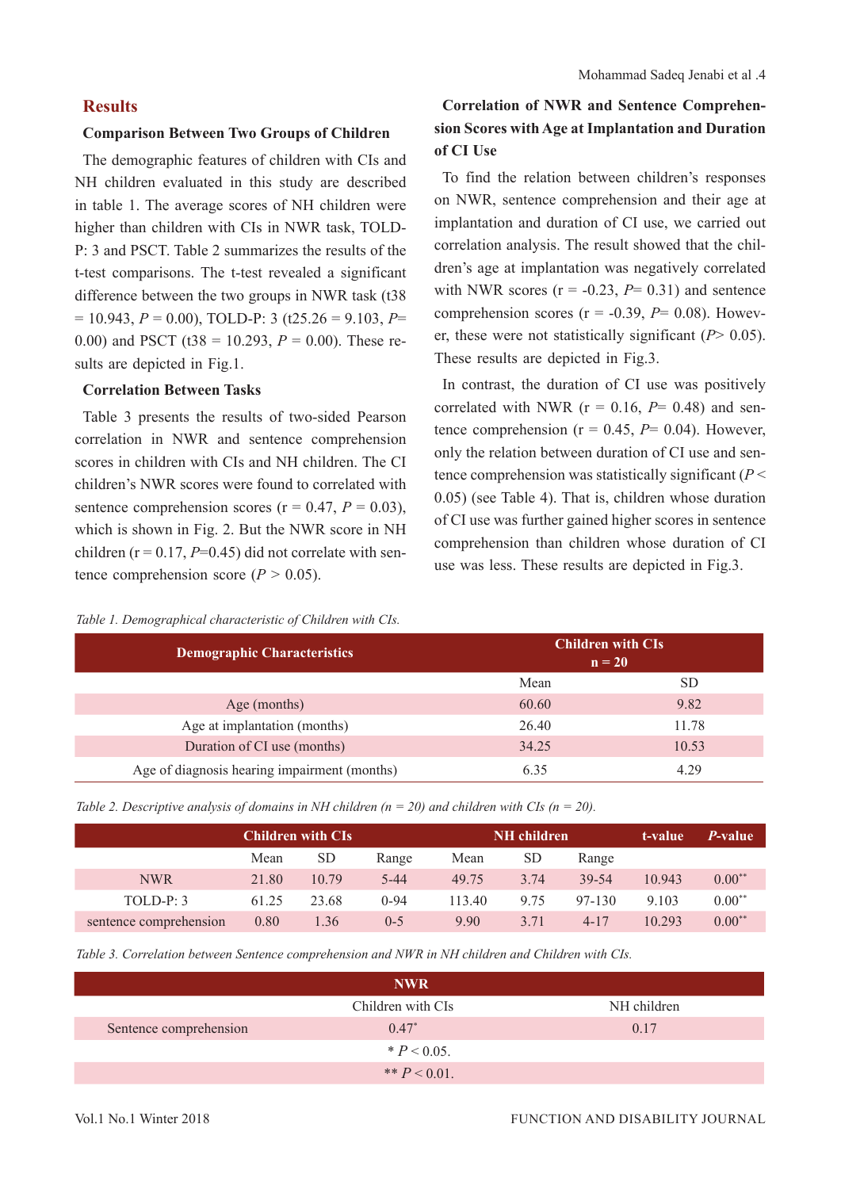## **Results**

### **Comparison Between Two Groups of Children**

The demographic features of children with CIs and NH children evaluated in this study are described in table 1. The average scores of NH children were higher than children with CIs in NWR task, TOLD-P: 3 and PSCT. Table 2 summarizes the results of the t-test comparisons. The t-test revealed a significant difference between the two groups in NWR task (t38  $= 10.943, P = 0.00$ , TOLD-P: 3 (t25.26 = 9.103, P= 0.00) and PSCT (t38 = 10.293,  $P = 0.00$ ). These results are depicted in Fig.1.

### **Correlation Between Tasks**

Table 3 presents the results of two-sided Pearson correlation in NWR and sentence comprehension scores in children with CIs and NH children. The CI children's NWR scores were found to correlated with sentence comprehension scores ( $r = 0.47$ ,  $P = 0.03$ ), which is shown in Fig. 2. But the NWR score in NH children ( $r = 0.17$ ,  $P=0.45$ ) did not correlate with sentence comprehension score  $(P > 0.05)$ .

#### *Table 1. Demographical characteristic of Children with CIs.*

# **Correlation of NWR and Sentence Comprehension Scores with Age at Implantation and Duration of CI Use**

To find the relation between children's responses on NWR, sentence comprehension and their age at implantation and duration of CI use, we carried out correlation analysis. The result showed that the children's age at implantation was negatively correlated with NWR scores  $(r = -0.23, P = 0.31)$  and sentence comprehension scores  $(r = -0.39, P = 0.08)$ . However, these were not statistically significant (*P*> 0.05). These results are depicted in Fig.3.

In contrast, the duration of CI use was positively correlated with NWR  $(r = 0.16, P = 0.48)$  and sentence comprehension ( $r = 0.45$ ,  $P = 0.04$ ). However, only the relation between duration of CI use and sentence comprehension was statistically significant (*P* < 0.05) (see Table 4). That is, children whose duration of CI use was further gained higher scores in sentence comprehension than children whose duration of CI use was less. These results are depicted in Fig.3.

| <b>Demographic Characteristics</b>           |       | <b>Children with CIs</b><br>$n = 20$ |  |
|----------------------------------------------|-------|--------------------------------------|--|
|                                              | Mean  | SD.                                  |  |
| Age (months)                                 | 60.60 | 9.82                                 |  |
| Age at implantation (months)                 | 26.40 | 11.78                                |  |
| Duration of CI use (months)                  | 34.25 | 10.53                                |  |
| Age of diagnosis hearing impairment (months) | 6.35  | 4.29                                 |  |

|  |  |  |  |  |  |  |  | Table 2. Descriptive analysis of domains in NH children ( $n = 20$ ) and children with CIs ( $n = 20$ ). |  |  |  |
|--|--|--|--|--|--|--|--|----------------------------------------------------------------------------------------------------------|--|--|--|
|--|--|--|--|--|--|--|--|----------------------------------------------------------------------------------------------------------|--|--|--|

|                        |       | <b>Children with CIs</b> |          |        | <b>NH</b> children |          | t-value | <i>P</i> -value |
|------------------------|-------|--------------------------|----------|--------|--------------------|----------|---------|-----------------|
|                        | Mean  | SD.                      | Range    | Mean   | <b>SD</b>          | Range    |         |                 |
| <b>NWR</b>             | 21.80 | 10.79                    | $5 - 44$ | 49.75  | 3.74               | 39-54    | 10.943  | $0.00**$        |
| $TOLD-P: 3$            | 61.25 | 23.68                    | $0 - 94$ | 113.40 | 9.75               | 97-130   | 9.103   | $0.00**$        |
| sentence comprehension | 0.80  | l.36                     | $0 - 5$  | 9.90   | 3.71               | $4 - 17$ | 10.293  | $0.00**$        |

*Table 3. Correlation between Sentence comprehension and NWR in NH children and Children with CIs.* 

|                        | <b>NWR</b>        |             |
|------------------------|-------------------|-------------|
|                        | Children with CIs | NH children |
| Sentence comprehension | $0.47*$           | 0.17        |
|                        | $* P < 0.05.$     |             |
|                        | ** $P < 0.01$ .   |             |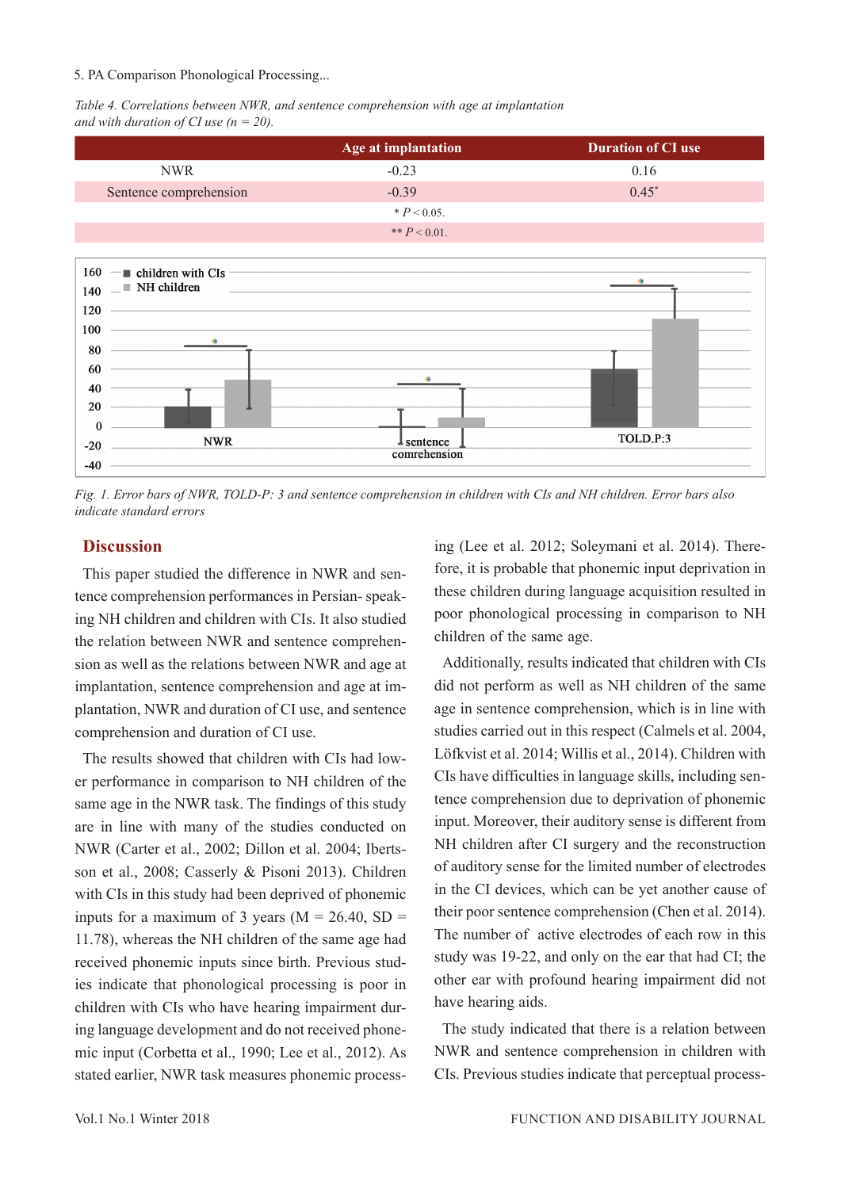### 5. PA Comparison Phonological Processing...

*Table 4. Correlations between NWR, and sentence comprehension with age at implantation and with duration of CI use (n = 20).* 



*Fig. 1. Error bars of NWR, TOLD-P: 3 and sentence comprehension in children with CIs and NH children. Error bars also indicate standard errors*

### **Discussion**

This paper studied the difference in NWR and sentence comprehension performances in Persian- speaking NH children and children with CIs. It also studied the relation between NWR and sentence comprehension as well as the relations between NWR and age at implantation, sentence comprehension and age at implantation, NWR and duration of CI use, and sentence comprehension and duration of CI use.

The results showed that children with CIs had lower performance in comparison to NH children of the same age in the NWR task. The findings of this study are in line with many of the studies conducted on NWR (Carter et al., 2002; Dillon et al. 2004; Ibertsson et al., 2008; Casserly & Pisoni 2013). Children with CIs in this study had been deprived of phonemic inputs for a maximum of 3 years ( $M = 26.40$ , SD = 11.78), whereas the NH children of the same age had received phonemic inputs since birth. Previous studies indicate that phonological processing is poor in children with CIs who have hearing impairment during language development and do not received phonemic input (Corbetta et al., 1990; Lee et al., 2012). As stated earlier, NWR task measures phonemic processing (Lee et al. 2012; Soleymani et al. 2014). Therefore, it is probable that phonemic input deprivation in these children during language acquisition resulted in poor phonological processing in comparison to NH children of the same age.

Additionally, results indicated that children with CIs did not perform as well as NH children of the same age in sentence comprehension, which is in line with studies carried out in this respect (Calmels et al. 2004, Löfkvist et al. 2014; Willis et al., 2014). Children with CIs have difficulties in language skills, including sentence comprehension due to deprivation of phonemic input. Moreover, their auditory sense is different from NH children after CI surgery and the reconstruction of auditory sense for the limited number of electrodes in the CI devices, which can be yet another cause of their poor sentence comprehension (Chen et al. 2014). The number of active electrodes of each row in this study was 19-22, and only on the ear that had CI; the other ear with profound hearing impairment did not have hearing aids.

The study indicated that there is a relation between NWR and sentence comprehension in children with CIs. Previous studies indicate that perceptual process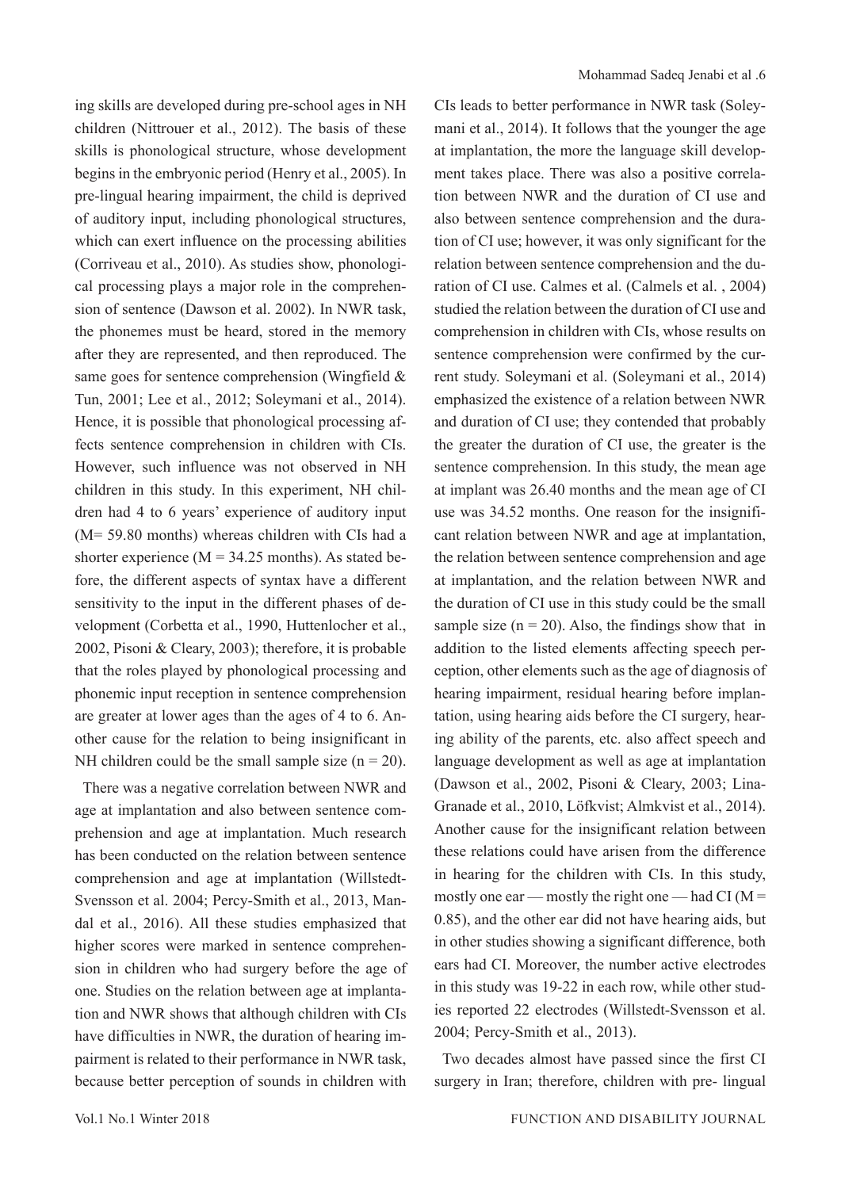ing skills are developed during pre-school ages in NH children (Nittrouer et al., 2012). The basis of these skills is phonological structure, whose development begins in the embryonic period (Henry et al., 2005). In pre-lingual hearing impairment, the child is deprived of auditory input, including phonological structures, which can exert influence on the processing abilities (Corriveau et al., 2010). As studies show, phonological processing plays a major role in the comprehension of sentence (Dawson et al. 2002). In NWR task, the phonemes must be heard, stored in the memory after they are represented, and then reproduced. The same goes for sentence comprehension (Wingfield & Tun, 2001; Lee et al., 2012; Soleymani et al., 2014). Hence, it is possible that phonological processing affects sentence comprehension in children with CIs. However, such influence was not observed in NH children in this study. In this experiment, NH children had 4 to 6 years' experience of auditory input (M= 59.80 months) whereas children with CIs had a shorter experience ( $M = 34.25$  months). As stated before, the different aspects of syntax have a different sensitivity to the input in the different phases of development (Corbetta et al., 1990, Huttenlocher et al., 2002, Pisoni & Cleary, 2003); therefore, it is probable that the roles played by phonological processing and phonemic input reception in sentence comprehension are greater at lower ages than the ages of 4 to 6. Another cause for the relation to being insignificant in NH children could be the small sample size  $(n = 20)$ .

There was a negative correlation between NWR and age at implantation and also between sentence comprehension and age at implantation. Much research has been conducted on the relation between sentence comprehension and age at implantation (Willstedt-Svensson et al. 2004; Percy-Smith et al., 2013, Mandal et al., 2016). All these studies emphasized that higher scores were marked in sentence comprehension in children who had surgery before the age of one. Studies on the relation between age at implantation and NWR shows that although children with CIs have difficulties in NWR, the duration of hearing impairment is related to their performance in NWR task, because better perception of sounds in children with

CIs leads to better performance in NWR task (Soleymani et al., 2014). It follows that the younger the age at implantation, the more the language skill development takes place. There was also a positive correlation between NWR and the duration of CI use and also between sentence comprehension and the duration of CI use; however, it was only significant for the relation between sentence comprehension and the duration of CI use. Calmes et al. (Calmels et al. , 2004) studied the relation between the duration of CI use and comprehension in children with CIs, whose results on sentence comprehension were confirmed by the current study. Soleymani et al. (Soleymani et al., 2014) emphasized the existence of a relation between NWR and duration of CI use; they contended that probably the greater the duration of CI use, the greater is the sentence comprehension. In this study, the mean age at implant was 26.40 months and the mean age of CI use was 34.52 months. One reason for the insignificant relation between NWR and age at implantation, the relation between sentence comprehension and age at implantation, and the relation between NWR and the duration of CI use in this study could be the small sample size  $(n = 20)$ . Also, the findings show that in addition to the listed elements affecting speech perception, other elements such as the age of diagnosis of hearing impairment, residual hearing before implantation, using hearing aids before the CI surgery, hearing ability of the parents, etc. also affect speech and language development as well as age at implantation (Dawson et al., 2002, Pisoni & Cleary, 2003; Lina-Granade et al., 2010, Löfkvist; Almkvist et al., 2014). Another cause for the insignificant relation between these relations could have arisen from the difference in hearing for the children with CIs. In this study, mostly one ear — mostly the right one — had CI ( $M =$ 0.85), and the other ear did not have hearing aids, but in other studies showing a significant difference, both ears had CI. Moreover, the number active electrodes in this study was 19-22 in each row, while other studies reported 22 electrodes (Willstedt-Svensson et al. 2004; Percy-Smith et al., 2013).

Two decades almost have passed since the first CI surgery in Iran; therefore, children with pre- lingual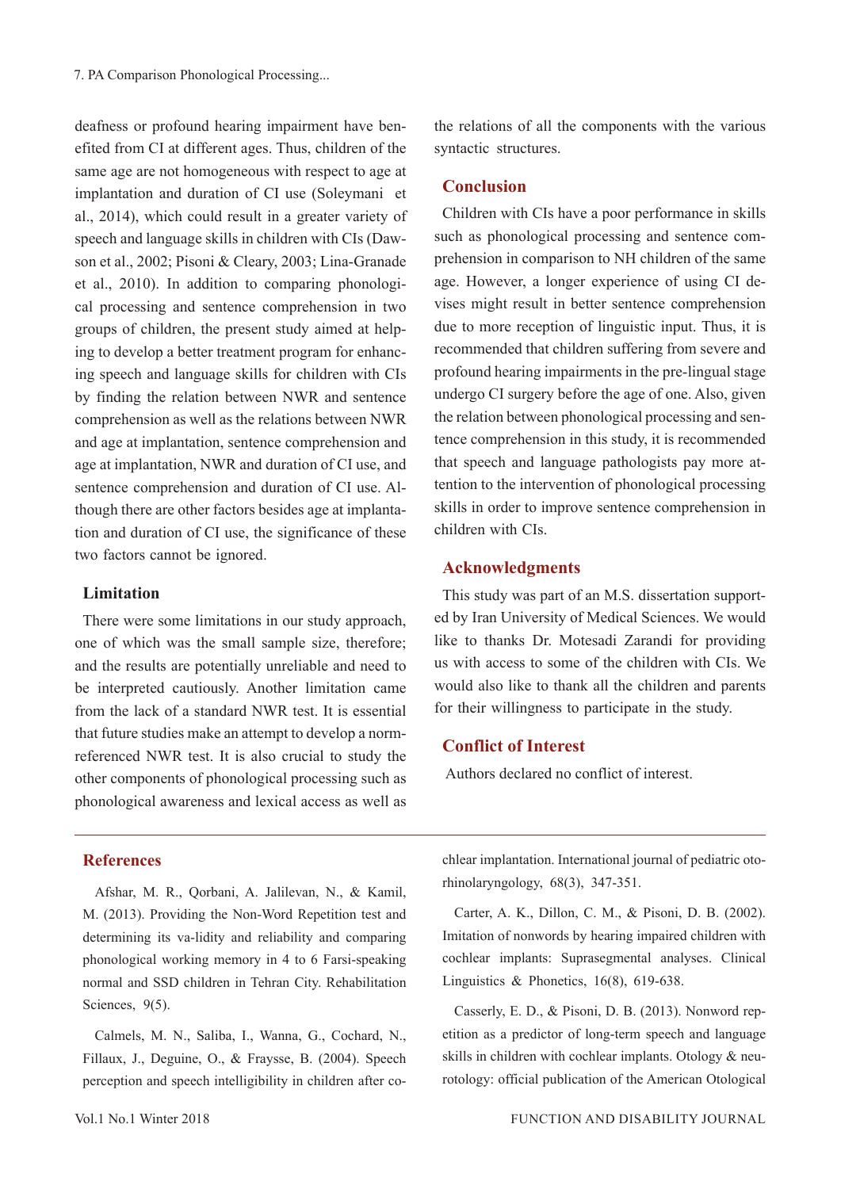deafness or profound hearing impairment have benefited from CI at different ages. Thus, children of the same age are not homogeneous with respect to age at implantation and duration of CI use (Soleymani et al., 2014), which could result in a greater variety of speech and language skills in children with CIs (Dawson et al., 2002; Pisoni & Cleary, 2003; Lina-Granade et al., 2010). In addition to comparing phonological processing and sentence comprehension in two groups of children, the present study aimed at helping to develop a better treatment program for enhancing speech and language skills for children with CIs by finding the relation between NWR and sentence comprehension as well as the relations between NWR and age at implantation, sentence comprehension and age at implantation, NWR and duration of CI use, and sentence comprehension and duration of CI use. Although there are other factors besides age at implantation and duration of CI use, the significance of these two factors cannot be ignored.

### **Limitation**

There were some limitations in our study approach, one of which was the small sample size, therefore; and the results are potentially unreliable and need to be interpreted cautiously. Another limitation came from the lack of a standard NWR test. It is essential that future studies make an attempt to develop a normreferenced NWR test. It is also crucial to study the other components of phonological processing such as phonological awareness and lexical access as well as

the relations of all the components with the various syntactic structures.

## **Conclusion**

Children with CIs have a poor performance in skills such as phonological processing and sentence comprehension in comparison to NH children of the same age. However, a longer experience of using CI devises might result in better sentence comprehension due to more reception of linguistic input. Thus, it is recommended that children suffering from severe and profound hearing impairments in the pre-lingual stage undergo CI surgery before the age of one. Also, given the relation between phonological processing and sentence comprehension in this study, it is recommended that speech and language pathologists pay more attention to the intervention of phonological processing skills in order to improve sentence comprehension in children with CIs.

## **Acknowledgments**

This study was part of an M.S. dissertation supported by Iran University of Medical Sciences. We would like to thanks Dr. Motesadi Zarandi for providing us with access to some of the children with CIs. We would also like to thank all the children and parents for their willingness to participate in the study.

# **Conflict of Interest**

Authors declared no conflict of interest.

### **References**

Afshar, M. R., Qorbani, A. Jalilevan, N., & Kamil, M. (2013). Providing the Non-Word Repetition test and determining its va-lidity and reliability and comparing phonological working memory in 4 to 6 Farsi-speaking normal and SSD children in Tehran City. Rehabilitation Sciences, 9(5).

Calmels, M. N., Saliba, I., Wanna, G., Cochard, N., Fillaux, J., Deguine, O., & Fraysse, B. (2004). Speech perception and speech intelligibility in children after cochlear implantation. International journal of pediatric otorhinolaryngology, 68(3), 347-351.

Carter, A. K., Dillon, C. M., & Pisoni, D. B. (2002). Imitation of nonwords by hearing impaired children with cochlear implants: Suprasegmental analyses. Clinical Linguistics & Phonetics, 16(8), 619-638.

Casserly, E. D., & Pisoni, D. B. (2013). Nonword repetition as a predictor of long-term speech and language skills in children with cochlear implants. Otology & neurotology: official publication of the American Otological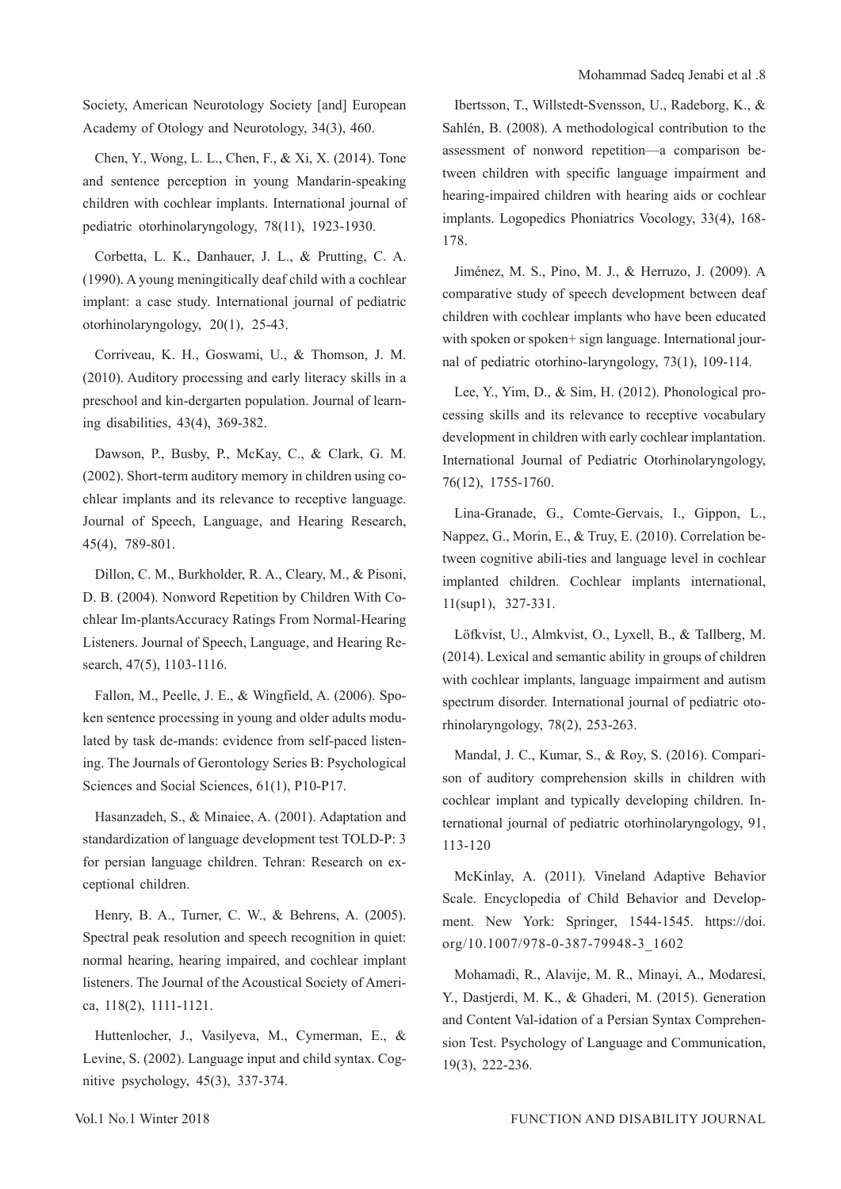Society, American Neurotology Society [and] European Academy of Otology and Neurotology, 34(3), 460.

Chen, Y., Wong, L. L., Chen, F., & Xi, X. (2014). Tone and sentence perception in young Mandarin-speaking children with cochlear implants. International journal of pediatric otorhinolaryngology, 78(11), 1923-1930.

Corbetta, L. K., Danhauer, J. L., & Prutting, C. A. (1990). A young meningitically deaf child with a cochlear implant: a case study. International journal of pediatric otorhinolaryngology, 20(1), 25-43.

Corriveau, K. H., Goswami, U., & Thomson, J. M. (2010). Auditory processing and early literacy skills in a preschool and kin-dergarten population. Journal of learning disabilities, 43(4), 369-382.

Dawson, P., Busby, P., McKay, C., & Clark, G. M. (2002). Short-term auditory memory in children using cochlear implants and its relevance to receptive language. Journal of Speech, Language, and Hearing Research, 45(4), 789-801.

Dillon, C. M., Burkholder, R. A., Cleary, M., & Pisoni, D. B. (2004). Nonword Repetition by Children With Cochlear Im-plantsAccuracy Ratings From Normal-Hearing Listeners. Journal of Speech, Language, and Hearing Research, 47(5), 1103-1116.

Fallon, M., Peelle, J. E., & Wingfield, A. (2006). Spoken sentence processing in young and older adults modulated by task de-mands: evidence from self-paced listening. The Journals of Gerontology Series B: Psychological Sciences and Social Sciences, 61(1), P10-P17.

Hasanzadeh, S., & Minaiee, A. (2001). Adaptation and standardization of language development test TOLD-P: 3 for persian language children. Tehran: Research on exceptional children.

Henry, B. A., Turner, C. W., & Behrens, A. (2005). Spectral peak resolution and speech recognition in quiet: normal hearing, hearing impaired, and cochlear implant listeners. The Journal of the Acoustical Society of America, 118(2), 1111-1121.

Huttenlocher, J., Vasilyeva, M., Cymerman, E., & Levine, S. (2002). Language input and child syntax. Cognitive psychology, 45(3), 337-374.

Ibertsson, T., Willstedt-Svensson, U., Radeborg, K., & Sahlén, B. (2008). A methodological contribution to the assessment of nonword repetition—a comparison between children with specific language impairment and hearing-impaired children with hearing aids or cochlear implants. Logopedics Phoniatrics Vocology, 33(4), 168- 178.

Jiménez, M. S., Pino, M. J., & Herruzo, J. (2009). A comparative study of speech development between deaf children with cochlear implants who have been educated with spoken or spoken+ sign language. International journal of pediatric otorhino-laryngology, 73(1), 109-114.

Lee, Y., Yim, D., & Sim, H. (2012). Phonological processing skills and its relevance to receptive vocabulary development in children with early cochlear implantation. International Journal of Pediatric Otorhinolaryngology, 76(12), 1755-1760.

Lina-Granade, G., Comte-Gervais, I., Gippon, L., Nappez, G., Morin, E., & Truy, E. (2010). Correlation between cognitive abili-ties and language level in cochlear implanted children. Cochlear implants international, 11(sup1), 327-331.

Löfkvist, U., Almkvist, O., Lyxell, B., & Tallberg, M. (2014). Lexical and semantic ability in groups of children with cochlear implants, language impairment and autism spectrum disorder. International journal of pediatric otorhinolaryngology, 78(2), 253-263.

Mandal, J. C., Kumar, S., & Roy, S. (2016). Comparison of auditory comprehension skills in children with cochlear implant and typically developing children. International journal of pediatric otorhinolaryngology, 91, 113-120

McKinlay, A. (2011). Vineland Adaptive Behavior Scale. Encyclopedia of Child Behavior and Development. New York: Springer, 1544-1545. https://doi. org/10.1007/978-0-387-79948-3\_1602

Mohamadi, R., Alavije, M. R., Minayi, A., Modaresi, Y., Dastjerdi, M. K., & Ghaderi, M. (2015). Generation and Content Val-idation of a Persian Syntax Comprehension Test. Psychology of Language and Communication, 19(3), 222-236.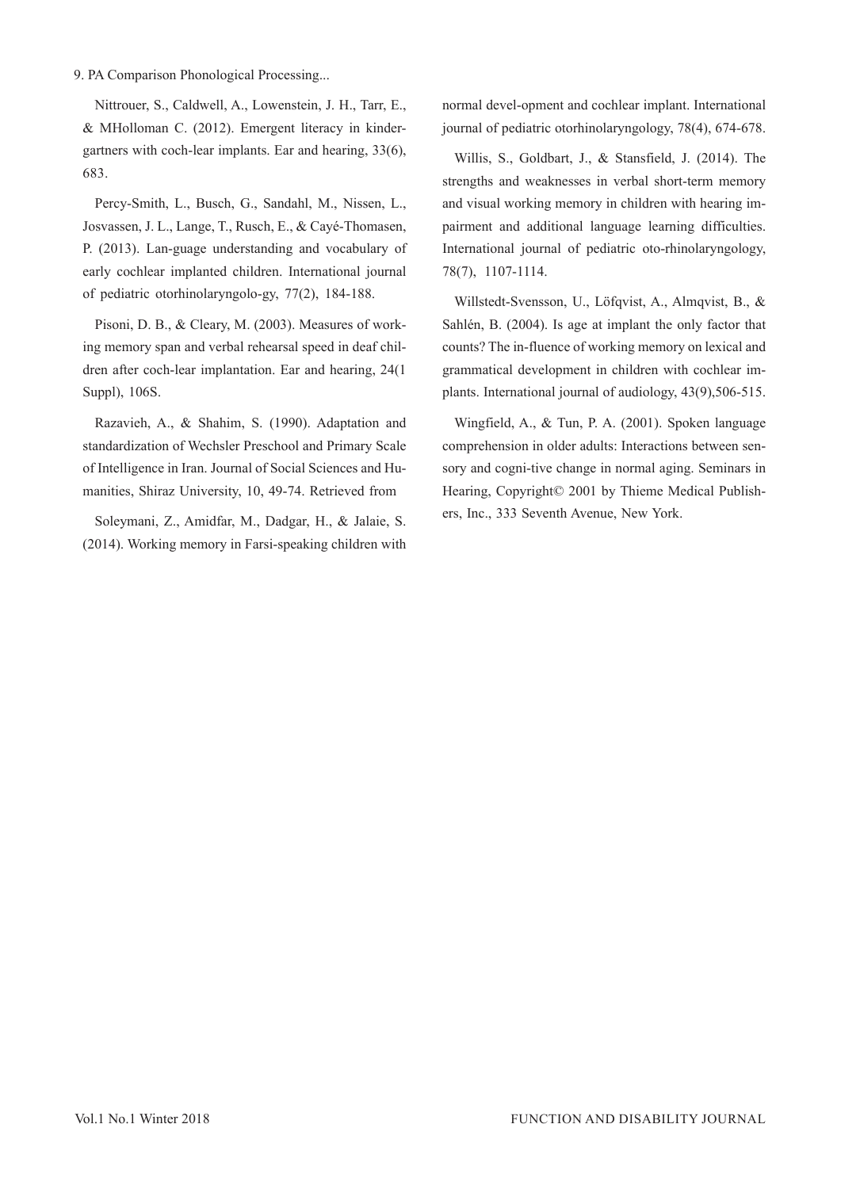### 9. PA Comparison Phonological Processing...

Nittrouer, S., Caldwell, A., Lowenstein, J. H., Tarr, E., & MHolloman C. (2012). Emergent literacy in kindergartners with coch-lear implants. Ear and hearing, 33(6), 683.

Percy-Smith, L., Busch, G., Sandahl, M., Nissen, L., Josvassen, J. L., Lange, T., Rusch, E., & Cayé-Thomasen, P. (2013). Lan-guage understanding and vocabulary of early cochlear implanted children. International journal of pediatric otorhinolaryngolo-gy, 77(2), 184-188.

Pisoni, D. B., & Cleary, M. (2003). Measures of working memory span and verbal rehearsal speed in deaf children after coch-lear implantation. Ear and hearing, 24(1 Suppl), 106S.

Razavieh, A., & Shahim, S. (1990). Adaptation and standardization of Wechsler Preschool and Primary Scale of Intelligence in Iran. Journal of Social Sciences and Humanities, Shiraz University, 10, 49-74. Retrieved from

Soleymani, Z., Amidfar, M., Dadgar, H., & Jalaie, S. (2014). Working memory in Farsi-speaking children with

normal devel-opment and cochlear implant. International journal of pediatric otorhinolaryngology, 78(4), 674-678.

Willis, S., Goldbart, J., & Stansfield, J. (2014). The strengths and weaknesses in verbal short-term memory and visual working memory in children with hearing impairment and additional language learning difficulties. International journal of pediatric oto-rhinolaryngology, 78(7), 1107-1114.

Willstedt-Svensson, U., Löfqvist, A., Almqvist, B., & Sahlén, B. (2004). Is age at implant the only factor that counts? The in-fluence of working memory on lexical and grammatical development in children with cochlear implants. International journal of audiology, 43(9),506-515.

Wingfield, A., & Tun, P. A. (2001). Spoken language comprehension in older adults: Interactions between sensory and cogni-tive change in normal aging. Seminars in Hearing, Copyright© 2001 by Thieme Medical Publishers, Inc., 333 Seventh Avenue, New York.